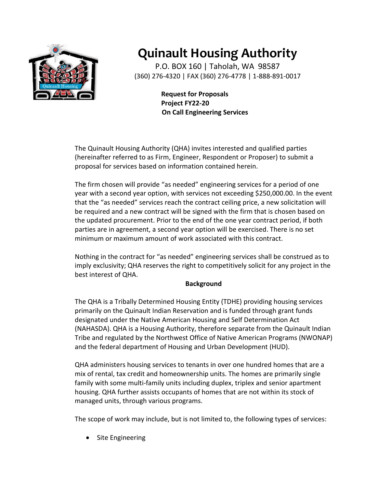

# **Quinault Housing Authority**

P.O. BOX 160 | Taholah, WA 98587 (360) 276-4320 | FAX (360) 276-4778 | 1-888-891-0017

> **Request for Proposals Project FY22-20 On Call Engineering Services**

The Quinault Housing Authority (QHA) invites interested and qualified parties (hereinafter referred to as Firm, Engineer, Respondent or Proposer) to submit a proposal for services based on information contained herein.

The firm chosen will provide "as needed" engineering services for a period of one year with a second year option, with services not exceeding \$250,000.00. In the event that the "as needed" services reach the contract ceiling price, a new solicitation will be required and a new contract will be signed with the firm that is chosen based on the updated procurement. Prior to the end of the one year contract period, if both parties are in agreement, a second year option will be exercised. There is no set minimum or maximum amount of work associated with this contract.

Nothing in the contract for "as needed" engineering services shall be construed as to imply exclusivity; QHA reserves the right to competitively solicit for any project in the best interest of QHA.

### **Background**

The QHA is a Tribally Determined Housing Entity (TDHE) providing housing services primarily on the Quinault Indian Reservation and is funded through grant funds designated under the Native American Housing and Self Determination Act (NAHASDA). QHA is a Housing Authority, therefore separate from the Quinault Indian Tribe and regulated by the Northwest Office of Native American Programs (NWONAP) and the federal department of Housing and Urban Development (HUD).

QHA administers housing services to tenants in over one hundred homes that are a mix of rental, tax credit and homeownership units. The homes are primarily single family with some multi-family units including duplex, triplex and senior apartment housing. QHA further assists occupants of homes that are not within its stock of managed units, through various programs.

The scope of work may include, but is not limited to, the following types of services:

• Site Engineering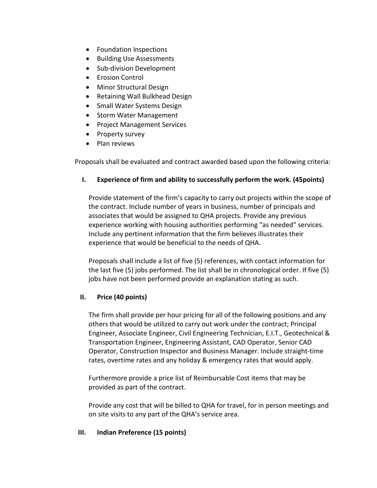- Foundation Inspections
- Building Use Assessments
- Sub-division Development
- Erosion Control
- Minor Structural Design
- Retaining Wall Bulkhead Design
- Small Water Systems Design
- Storm Water Management
- Project Management Services
- Property survey
- Plan reviews

Proposals shall be evaluated and contract awarded based upon the following criteria:

## **I. Experience of firm and ability to successfully perform the work. (45points)**

Provide statement of the firm's capacity to carry out projects within the scope of the contract. Include number of years in business, number of principals and associates that would be assigned to QHA projects. Provide any previous experience working with housing authorities performing "as needed" services. Include any pertinent information that the firm believes illustrates their experience that would be beneficial to the needs of QHA.

Proposals shall include a list of five (5) references, with contact information for the last five (5) jobs performed. The list shall be in chronological order. If five (5) jobs have not been performed provide an explanation stating as such.

### **II. Price (40 points)**

The firm shall provide per hour pricing for all of the following positions and any others that would be utilized to carry out work under the contract; Principal Engineer, Associate Engineer, Civil Engineering Technician, E.I.T., Geotechnical & Transportation Engineer, Engineering Assistant, CAD Operator, Senior CAD Operator, Construction Inspector and Business Manager. Include straight-time rates, overtime rates and any holiday & emergency rates that would apply.

Furthermore provide a price list of Reimbursable Cost items that may be provided as part of the contract.

Provide any cost that will be billed to QHA for travel, for in person meetings and on site visits to any part of the QHA's service area.

### **III. Indian Preference (15 points)**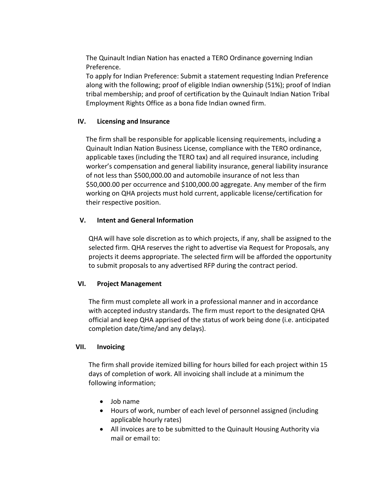The Quinault Indian Nation has enacted a TERO Ordinance governing Indian Preference.

To apply for Indian Preference: Submit a statement requesting Indian Preference along with the following; proof of eligible Indian ownership (51%); proof of Indian tribal membership; and proof of certification by the Quinault Indian Nation Tribal Employment Rights Office as a bona fide Indian owned firm.

#### **IV. Licensing and Insurance**

The firm shall be responsible for applicable licensing requirements, including a Quinault Indian Nation Business License, compliance with the TERO ordinance, applicable taxes (including the TERO tax) and all required insurance, including worker's compensation and general liability insurance, general liability insurance of not less than \$500,000.00 and automobile insurance of not less than \$50,000.00 per occurrence and \$100,000.00 aggregate. Any member of the firm working on QHA projects must hold current, applicable license/certification for their respective position.

#### **V. Intent and General Information**

QHA will have sole discretion as to which projects, if any, shall be assigned to the selected firm. QHA reserves the right to advertise via Request for Proposals, any projects it deems appropriate. The selected firm will be afforded the opportunity to submit proposals to any advertised RFP during the contract period.

#### **VI. Project Management**

The firm must complete all work in a professional manner and in accordance with accepted industry standards. The firm must report to the designated QHA official and keep QHA apprised of the status of work being done (i.e. anticipated completion date/time/and any delays).

#### **VII. Invoicing**

The firm shall provide itemized billing for hours billed for each project within 15 days of completion of work. All invoicing shall include at a minimum the following information;

- Job name
- Hours of work, number of each level of personnel assigned (including applicable hourly rates)
- All invoices are to be submitted to the Quinault Housing Authority via mail or email to: